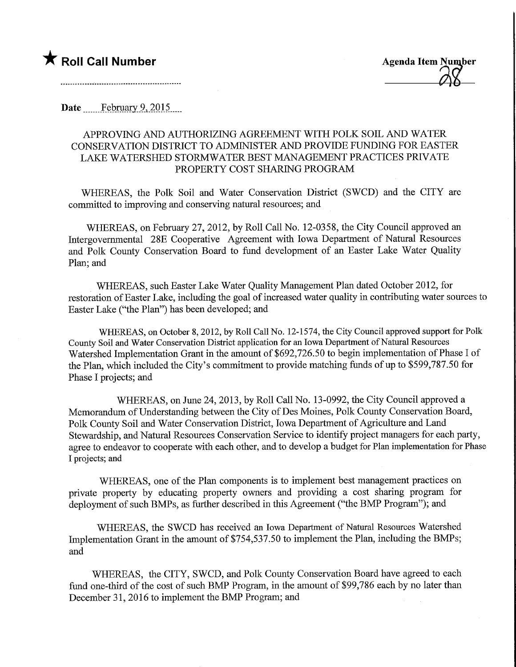Date February 9, 2015.

## APPROVING AND AUTHORIZING AGREEMENT WITH POLK SOIL AND WATER CONSERVATION DISTRICT TO ADMINISTER AND PROVIDE FUNDING FOR EASTER LAKE WATERSHED STORMWATER BEST MANAGEMENT PRACTICES PRIVATE PROPERTY COST SHARING PROGRAM

WHEREAS, the Polk Soil and Water Conservation District (SWCD) and the CITY are committed to improving and conserving natural resources; and

WHEREAS, on February 27, 2012, by Roll Call No. 12-0358, the City Council approved an Intergovernmental 28E Cooperative Agreement with Iowa Department of Natural Resources and Polk County Conservation Board to fund development of an Easter Lake Water Quality Plan; and

WHEREAS, such Easter Lake Water Quality Management Plan dated October 2012, for restoration of Easter Lake, including the goal of increased water quality in contributing water sources to Easter Lake ("the Plan") has been developed; and

WHEREAS, on October 8,2012, by Roll Call No. 12-1574, the City Council approved support for Polk County Soil and Water Conservation District application for an Iowa Department of Natural Resources Watershed Implementation Grant in the amount of \$692,726.50 to begin implementation of Phase I of the Plan, which included the City's commitment to provide matching funds of up to \$599,787.50 for Phase I projects; and

WHEREAS, on June 24, 2013, by Roll Call No. 13-0992, the City Council approved a Memorandum of Understanding between the City of Des Moines, Polk County Conservation Board, Polk County Soil and Water Conservation District, Iowa Department of Agriculture and Land Stewardship, and Natural Resources Conservation Service to identify project managers for each party, agree to endeavor to cooperate with each other, and to develop a budget for Plan implementation for Phase I projects; and

WHEREAS, one of the Plan components is to implement best management practices on private property by educating property owners and providing a cost sharing program for deployment of such BMPs, as further described in this Agreement ("the BMP Program"); and

WHEREAS, the SWCD has received an Iowa Department of Natural Resources Watershed Implementation Grant in the amount of \$754,537.50 to implement the Plan, including the BMPs; and

WHEREAS, the CITY, SWCD, and Polk County Conservation Board have agreed to each fund one-third of the cost of such BMP Program, in the amount of \$99,786 each by no later than December 31, 2016 to implement the BMP Program; and